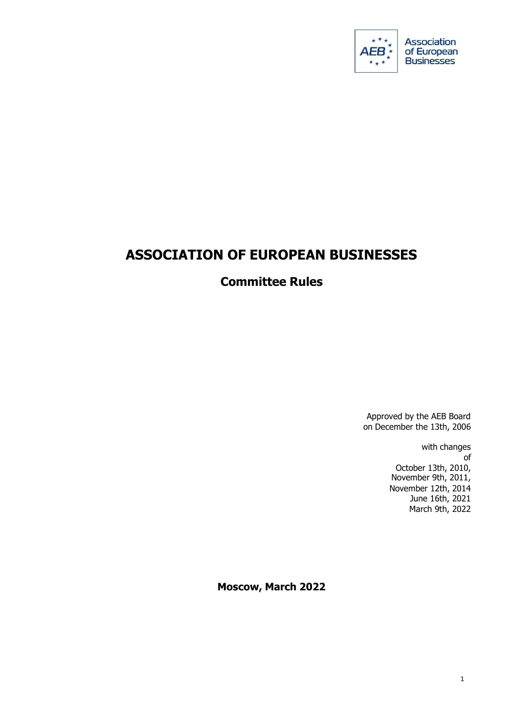

# **ASSOCIATION OF EUROPEAN BUSINESSES**

# **Committee Rules**

Approved by the AEB Board on December the 13th, 2006

> with changes of October 13th, 2010, November 9th, 2011, November 12th, 2014 June 16th, 2021 March 9th, 2022

**Moscow, March 2022**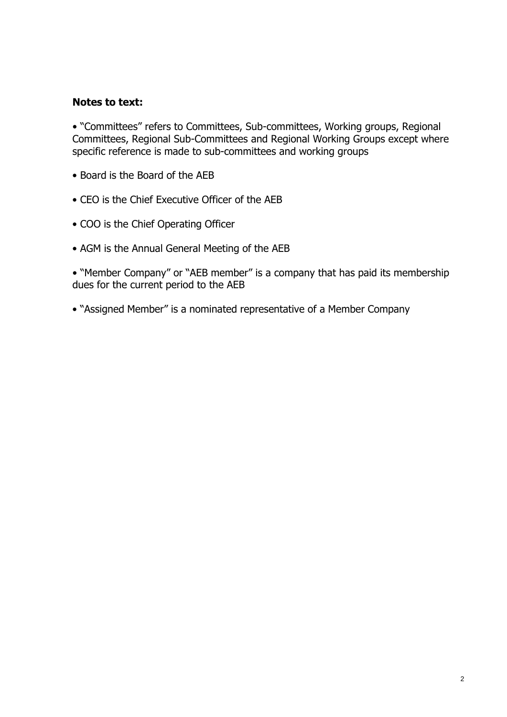### **Notes to text:**

• "Committees" refers to Committees, Sub-committees, Working groups, Regional Committees, Regional Sub-Committees and Regional Working Groups except where specific reference is made to sub-committees and working groups

- Board is the Board of the AEB
- CEO is the Chief Executive Officer of the AEB
- COO is the Chief Operating Officer
- AGM is the Annual General Meeting of the AEB

• "Member Company" or "AEB member" is a company that has paid its membership dues for the current period to the AEB

• "Assigned Member" is a nominated representative of a Member Company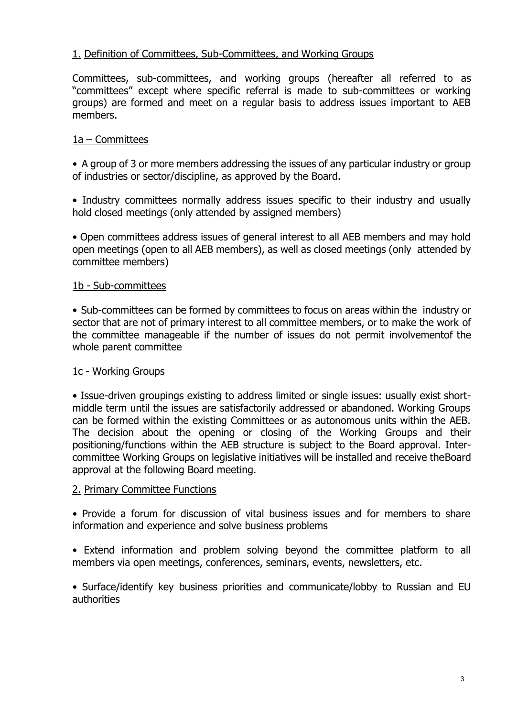## 1. Definition of Committees, Sub-Committees, and Working Groups

Committees, sub-committees, and working groups (hereafter all referred to as "committees" except where specific referral is made to sub-committees or working groups) are formed and meet on a regular basis to address issues important to AEB members.

### 1a – Committees

• A group of 3 or more members addressing the issues of any particular industry or group of industries or sector/discipline, as approved by the Board.

• Industry committees normally address issues specific to their industry and usually hold closed meetings (only attended by assigned members)

• Open committees address issues of general interest to all AEB members and may hold open meetings (open to all AEB members), as well as closed meetings (only attended by committee members)

### 1b - Sub-committees

• Sub-committees can be formed by committees to focus on areas within the industry or sector that are not of primary interest to all committee members, or to make the work of the committee manageable if the number of issues do not permit involvementof the whole parent committee

### 1c - Working Groups

• Issue-driven groupings existing to address limited or single issues: usually exist shortmiddle term until the issues are satisfactorily addressed or abandoned. Working Groups can be formed within the existing Committees or as autonomous units within the AEB. The decision about the opening or closing of the Working Groups and their positioning/functions within the AEB structure is subject to the Board approval. Intercommittee Working Groups on legislative initiatives will be installed and receive theBoard approval at the following Board meeting.

### 2. Primary Committee Functions

• Provide a forum for discussion of vital business issues and for members to share information and experience and solve business problems

• Extend information and problem solving beyond the committee platform to all members via open meetings, conferences, seminars, events, newsletters, etc.

• Surface/identify key business priorities and communicate/lobby to Russian and EU authorities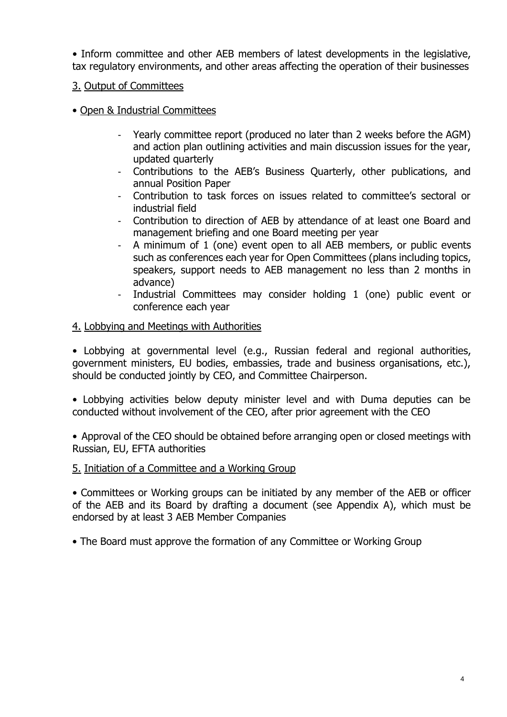• Inform committee and other AEB members of latest developments in the legislative, tax regulatory environments, and other areas affecting the operation of their businesses

## 3. Output of Committees

- Open & Industrial Committees
	- Yearly committee report (produced no later than 2 weeks before the AGM) and action plan outlining activities and main discussion issues for the year, updated quarterly
	- Contributions to the AEB's Business Quarterly, other publications, and annual Position Paper
	- Contribution to task forces on issues related to committee's sectoral or industrial field
	- Contribution to direction of AEB by attendance of at least one Board and management briefing and one Board meeting per year
	- A minimum of 1 (one) event open to all AEB members, or public events such as conferences each year for Open Committees (plans including topics, speakers, support needs to AEB management no less than 2 months in advance)
	- Industrial Committees may consider holding 1 (one) public event or conference each year

### 4. Lobbying and Meetings with Authorities

• Lobbying at governmental level (e.g., Russian federal and regional authorities, government ministers, EU bodies, embassies, trade and business organisations, etc.), should be conducted jointly by CEO, and Committee Chairperson.

• Lobbying activities below deputy minister level and with Duma deputies can be conducted without involvement of the CEO, after prior agreement with the CEO

• Approval of the CEO should be obtained before arranging open or closed meetings with Russian, EU, EFTA authorities

### 5. Initiation of a Committee and a Working Group

• Committees or Working groups can be initiated by any member of the AEB or officer of the AEB and its Board by drafting a document (see Appendix A), which must be endorsed by at least 3 AEB Member Companies

• The Board must approve the formation of any Committee or Working Group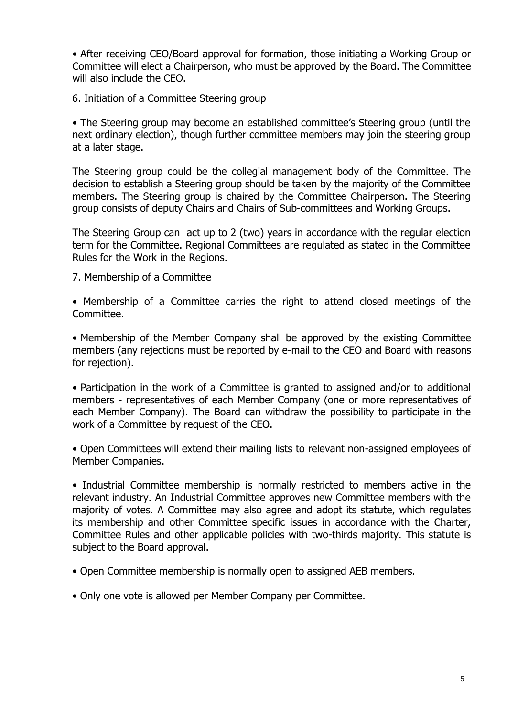• After receiving CEO/Board approval for formation, those initiating a Working Group or Committee will elect a Chairperson, who must be approved by the Board. The Committee will also include the CEO.

#### 6. Initiation of a Committee Steering group

• The Steering group may become an established committee's Steering group (until the next ordinary election), though further committee members may join the steering group at a later stage.

The Steering group could be the collegial management body of the Committee. The decision to establish a Steering group should be taken by the majority of the Committee members. The Steering group is chaired by the Committee Chairperson. The Steering group consists of deputy Chairs and Chairs of Sub-committees and Working Groups.

The Steering Group can act up to 2 (two) years in accordance with the regular election term for the Committee. Regional Committees are regulated as stated in the Committee Rules for the Work in the Regions.

#### 7. Membership of a Committee

• Membership of a Committee carries the right to attend closed meetings of the Committee.

• Membership of the Member Company shall be approved by the existing Committee members (any rejections must be reported by e-mail to the CEO and Board with reasons for rejection).

• Participation in the work of a Committee is granted to assigned and/or to additional members - representatives of each Member Company (one or more representatives of each Member Company). The Board can withdraw the possibility to participate in the work of a Committee by request of the CEO.

• Open Committees will extend their mailing lists to relevant non-assigned employees of Member Companies.

• Industrial Committee membership is normally restricted to members active in the relevant industry. An Industrial Committee approves new Committee members with the majority of votes. A Committee may also agree and adopt its statute, which regulates its membership and other Committee specific issues in accordance with the Charter, Committee Rules and other applicable policies with two-thirds majority. This statute is subject to the Board approval.

• Open Committee membership is normally open to assigned AEB members.

• Only one vote is allowed per Member Company per Committee.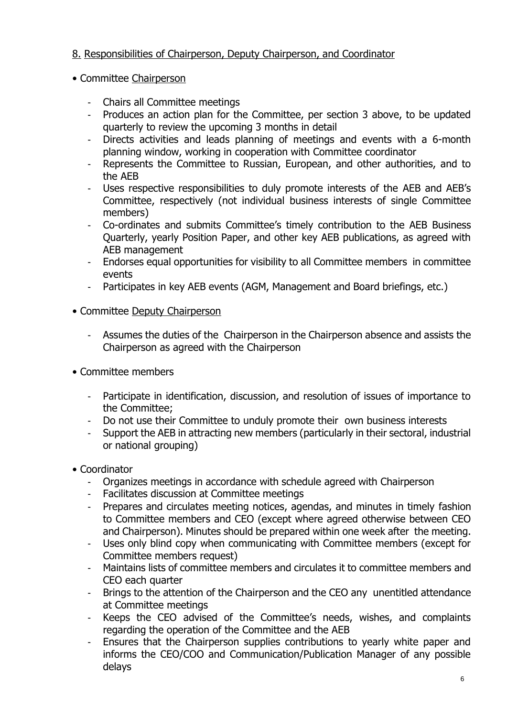# 8. Responsibilities of Chairperson, Deputy Chairperson, and Coordinator

# • Committee Chairperson

- Chairs all Committee meetings
- Produces an action plan for the Committee, per section 3 above, to be updated quarterly to review the upcoming 3 months in detail
- Directs activities and leads planning of meetings and events with a 6-month planning window, working in cooperation with Committee coordinator
- Represents the Committee to Russian, European, and other authorities, and to the AEB
- Uses respective responsibilities to duly promote interests of the AEB and AEB's Committee, respectively (not individual business interests of single Committee members)
- Co-ordinates and submits Committee's timely contribution to the AEB Business Quarterly, yearly Position Paper, and other key AEB publications, as agreed with AEB management
- Endorses equal opportunities for visibility to all Сommittee members in committee events
- Participates in key AEB events (AGM, Management and Board briefings, etc.)
- Committee Deputy Chairperson
	- Assumes the duties of the Chairperson in the Chairperson absence and assists the Chairperson as agreed with the Chairperson
- Committee members
	- Participate in identification, discussion, and resolution of issues of importance to the Committee;
	- Do not use their Committee to unduly promote their own business interests
	- Support the AEB in attracting new members (particularly in their sectoral, industrial or national grouping)
- Coordinator
	- Organizes meetings in accordance with schedule agreed with Chairperson
	- Facilitates discussion at Committee meetings
	- Prepares and circulates meeting notices, agendas, and minutes in timely fashion to Committee members and CEO (except where agreed otherwise between CEO and Chairperson). Minutes should be prepared within one week after the meeting.
	- Uses only blind copy when communicating with Committee members (except for Committee members request)
	- Maintains lists of committee members and circulates it to committee members and CEO each quarter
	- Brings to the attention of the Chairperson and the CEO any unentitled attendance at Committee meetings
	- Keeps the CEO advised of the Committee's needs, wishes, and complaints regarding the operation of the Committee and the AEB
	- Ensures that the Chairperson supplies contributions to yearly white paper and informs the CEO/COO and Communication/Publication Manager of any possible delays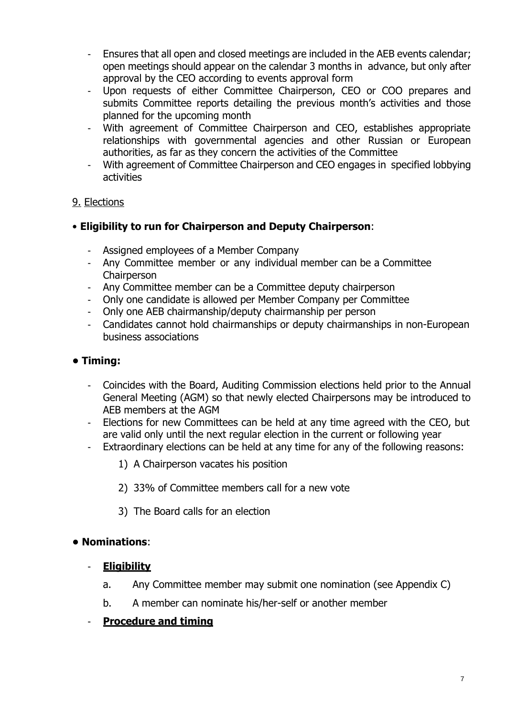- Ensures that all open and closed meetings are included in the AEB events calendar; open meetings should appear on the calendar 3 months in advance, but only after approval by the CEO according to events approval form
- Upon requests of either Committee Chairperson, CEO or COO prepares and submits Committee reports detailing the previous month's activities and those planned for the upcoming month
- With agreement of Committee Chairperson and CEO, establishes appropriate relationships with governmental agencies and other Russian or European authorities, as far as they concern the activities of the Committee
- With agreement of Committee Chairperson and CEO engages in specified lobbying activities

# 9. Elections

# • **Eligibility to run for Chairperson and Deputy Chairperson**:

- Assigned employees of a Member Company
- Any Committee member or any individual member can be a Committee **Chairperson**
- Any Committee member can be a Committee deputy chairperson
- Only one candidate is allowed per Member Company per Committee
- Only one AEB chairmanship/deputy chairmanship per person
- Candidates cannot hold chairmanships or deputy chairmanships in non-European business associations

# **• Timing:**

- Coincides with the Board, Auditing Commission elections held prior to the Annual General Meeting (AGM) so that newly elected Chairpersons may be introduced to AEB members at the AGM
- Elections for new Committees can be held at any time agreed with the CEO, but are valid only until the next regular election in the current or following year
- Extraordinary elections can be held at any time for any of the following reasons:
	- 1) A Chairperson vacates his position
	- 2) 33% of Committee members call for a new vote
	- 3) The Board calls for an election

# **• Nominations**:

- **Eligibility**
	- a. Any Committee member may submit one nomination (see Appendix C)
	- b. A member can nominate his/her-self or another member

# - **Procedure and timing**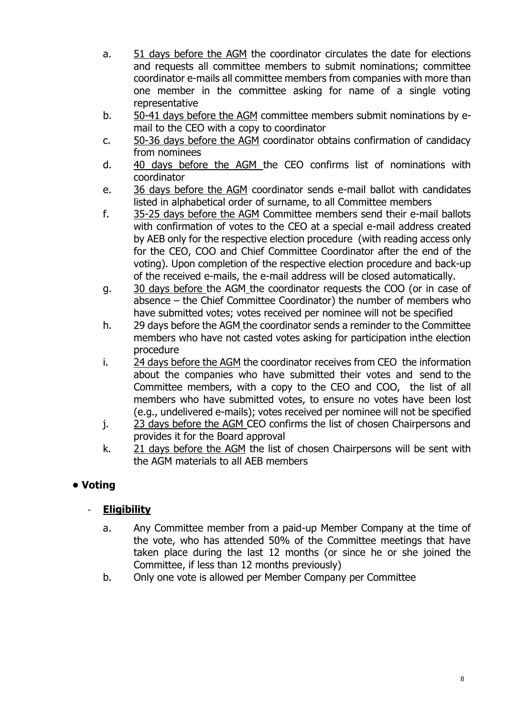- a. 51 days before the AGM the coordinator circulates the date for elections and requests all committee members to submit nominations; committee coordinator e-mails all committee members from companies with more than one member in the committee asking for name of a single voting representative
- b. 50-41 days before the AGM committee members submit nominations by email to the CEO with a copy to coordinator
- c. 50-36 days before the AGM coordinator obtains confirmation of candidacy from nominees
- d. 40 days before the AGM the CEO confirms list of nominations with coordinator
- e. 36 days before the AGM coordinator sends e-mail ballot with candidates listed in alphabetical order of surname, to all Committee members
- f. 35-25 days before the AGM Committee members send their e-mail ballots with confirmation of votes to the CEO at a special e-mail address created by AEB only for the respective election procedure (with reading access only for the CEO, COO and Chief Committee Coordinator after the end of the voting). Upon completion of the respective election procedure and back-up of the received e-mails, the e-mail address will be closed automatically.
- g. 30 days before the AGM the coordinator requests the COO (or in case of absence – the Chief Committee Coordinator) the number of members who have submitted votes; votes received per nominee will not be specified
- h. 29 days before the AGM the coordinator sends a reminder to the Committee members who have not casted votes asking for participation inthe election procedure
- i. 24 days before the AGM the coordinator receives from CEO the information about the companies who have submitted their votes and send to the Committee members, with a copy to the CEO and COO, the list of all members who have submitted votes, to ensure no votes have been lost (e.g., undelivered e-mails); votes received per nominee will not be specified
- j. 23 days before the AGM CEO confirms the list of chosen Chairpersons and provides it for the Board approval
- k. 21 days before the AGM the list of chosen Chairpersons will be sent with the AGM materials to all AEB members

# **• Voting**

# - **Eligibility**

- a. Any Committee member from a paid-up Member Company at the time of the vote, who has attended 50% of the Committee meetings that have taken place during the last 12 months (or since he or she joined the Committee, if less than 12 months previously)
- b. Only one vote is allowed per Member Company per Committee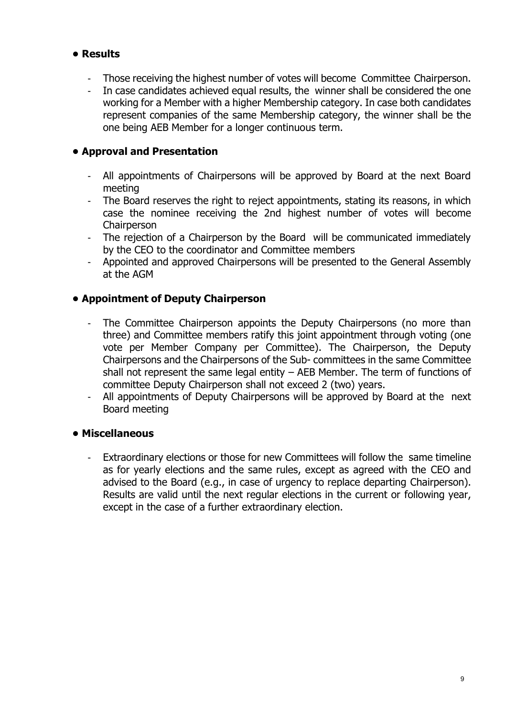## **• Results**

- Those receiving the highest number of votes will become Committee Chairperson.
- In case candidates achieved equal results, the winner shall be considered the one working for a Member with a higher Membership category. In case both candidates represent companies of the same Membership category, the winner shall be the one being AEB Member for a longer continuous term.

## **• Approval and Presentation**

- All appointments of Chairpersons will be approved by Board at the next Board meeting
- The Board reserves the right to reject appointments, stating its reasons, in which case the nominee receiving the 2nd highest number of votes will become **Chairperson**
- The rejection of a Chairperson by the Board will be communicated immediately by the CEO to the coordinator and Committee members
- Appointed and approved Chairpersons will be presented to the General Assembly at the AGM

## **• Appointment of Deputy Chairperson**

- The Committee Chairperson appoints the Deputy Chairpersons (no more than three) and Committee members ratify this joint appointment through voting (one vote per Member Company per Committee). The Chairperson, the Deputy Chairpersons and the Chairpersons of the Sub- committees in the same Committee shall not represent the same legal entity – AEB Member. The term of functions of committee Deputy Chairperson shall not exceed 2 (two) years.
- All appointments of Deputy Chairpersons will be approved by Board at the next Board meeting

### **• Miscellaneous**

Extraordinary elections or those for new Committees will follow the same timeline as for yearly elections and the same rules, except as agreed with the CEO and advised to the Board (e.g., in case of urgency to replace departing Chairperson). Results are valid until the next regular elections in the current or following year, except in the case of a further extraordinary election.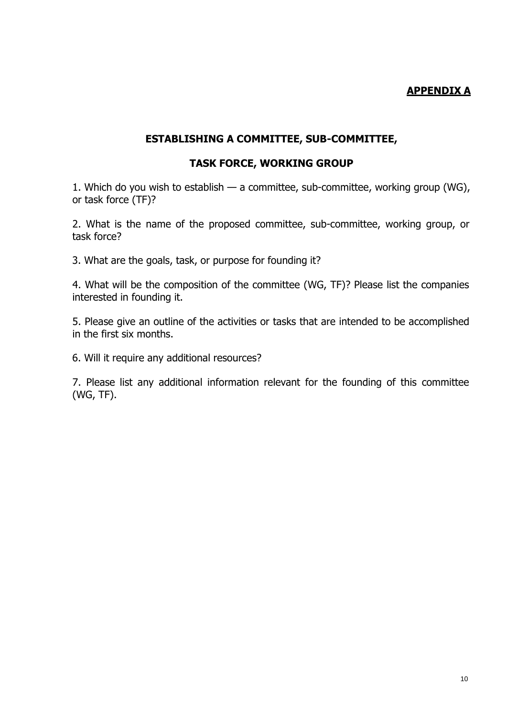#### **APPENDIX A**

### **ESTABLISHING A COMMITTEE, SUB-COMMITTEE,**

#### **TASK FORCE, WORKING GROUP**

1. Which do you wish to establish — a committee, sub-committee, working group (WG), or task force (TF)?

2. What is the name of the proposed committee, sub-committee, working group, or task force?

3. What are the goals, task, or purpose for founding it?

4. What will be the composition of the committee (WG, TF)? Please list the companies interested in founding it.

5. Please give an outline of the activities or tasks that are intended to be accomplished in the first six months.

6. Will it require any additional resources?

7. Please list any additional information relevant for the founding of this committee (WG, TF).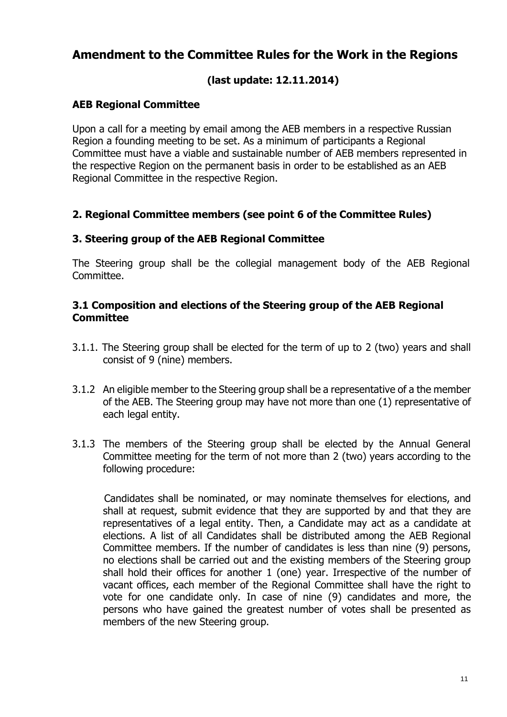# **Amendment to the Committee Rules for the Work in the Regions**

# **(last update: 12.11.2014)**

## **AEB Regional Committee**

Upon a call for a meeting by email among the AEB members in a respective Russian Region a founding meeting to be set. As a minimum of participants a Regional Committee must have a viable and sustainable number of AEB members represented in the respective Region on the permanent basis in order to be established as an AEB Regional Committee in the respective Region.

### **2. Regional Committee members (see point 6 of the Committee Rules)**

#### **3. Steering group of the AEB Regional Committee**

The Steering group shall be the collegial management body of the AEB Regional Committee.

#### **3.1 Composition and elections of the Steering group of the AEB Regional Committee**

- 3.1.1. The Steering group shall be elected for the term of up to 2 (two) years and shall consist of 9 (nine) members.
- 3.1.2 An eligible member to the Steering group shall be a representative of a the member of the AEB. The Steering group may have not more than one (1) representative of each legal entity.
- 3.1.3 The members of the Steering group shall be elected by the Annual General Committee meeting for the term of not more than 2 (two) years according to the following procedure:

Candidates shall be nominated, or may nominate themselves for elections, and shall at request, submit evidence that they are supported by and that they are representatives of a legal entity. Then, a Candidate may act as a candidate at elections. A list of all Candidates shall be distributed among the AEB Regional Committee members. If the number of candidates is less than nine (9) persons, no elections shall be carried out and the existing members of the Steering group shall hold their offices for another 1 (one) year. Irrespective of the number of vacant offices, each member of the Regional Committee shall have the right to vote for one candidate only. In case of nine (9) candidates and more, the persons who have gained the greatest number of votes shall be presented as members of the new Steering group.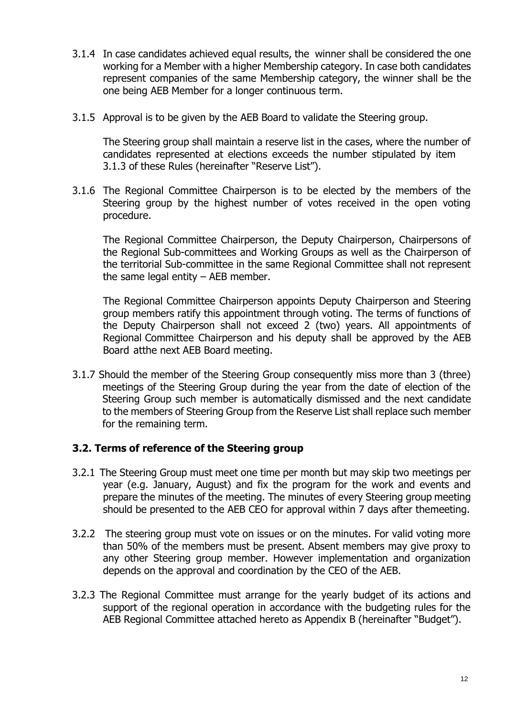- 3.1.4 In case candidates achieved equal results, the winner shall be considered the one working for a Member with a higher Membership category. In case both candidates represent companies of the same Membership category, the winner shall be the one being AEB Member for a longer continuous term.
- 3.1.5 Approval is to be given by the AEB Board to validate the Steering group.

The Steering group shall maintain a reserve list in the cases, where the number of candidates represented at elections exceeds the number stipulated by item 3.1.3 of these Rules (hereinafter "Reserve List").

3.1.6 The Regional Committee Chairperson is to be elected by the members of the Steering group by the highest number of votes received in the open voting procedure.

The Regional Committee Chairperson, the Deputy Chairperson, Chairpersons of the Regional Sub-committees and Working Groups as well as the Chairperson of the territorial Sub-committee in the same Regional Committee shall not represent the same legal entity  $-$  AEB member.

The Regional Committee Chairperson appoints Deputy Chairperson and Steering group members ratify this appointment through voting. The terms of functions of the Deputy Chairperson shall not exceed 2 (two) years. All appointments of Regional Committee Chairperson and his deputy shall be approved by the AEB Board atthe next AEB Board meeting.

3.1.7 Should the member of the Steering Group consequently miss more than 3 (three) meetings of the Steering Group during the year from the date of election of the Steering Group such member is automatically dismissed and the next candidate to the members of Steering Group from the Reserve List shall replace such member for the remaining term.

### **3.2. Terms of reference of the Steering group**

- 3.2.1 The Steering Group must meet one time per month but may skip two meetings per year (e.g. January, August) and fix the program for the work and events and prepare the minutes of the meeting. The minutes of every Steering group meeting should be presented to the AEB CEO for approval within 7 days after themeeting.
- 3.2.2 The steering group must vote on issues or on the minutes. For valid voting more than 50% of the members must be present. Absent members may give proxy to any other Steering group member. However implementation and organization depends on the approval and coordination by the CEO of the AEB.
- 3.2.3 The Regional Committee must arrange for the yearly budget of its actions and support of the regional operation in accordance with the budgeting rules for the AEB Regional Committee attached hereto as Appendix B (hereinafter "Budget").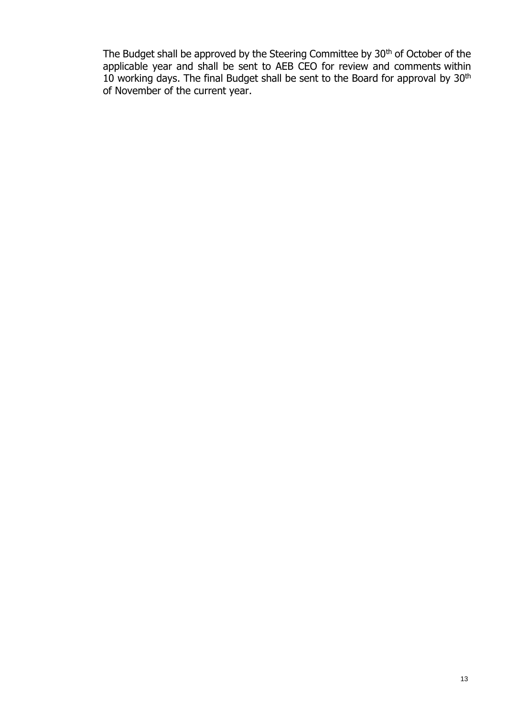The Budget shall be approved by the Steering Committee by 30<sup>th</sup> of October of the applicable year and shall be sent to AEB CEO for review and comments within 10 working days. The final Budget shall be sent to the Board for approval by 30<sup>th</sup> of November of the current year.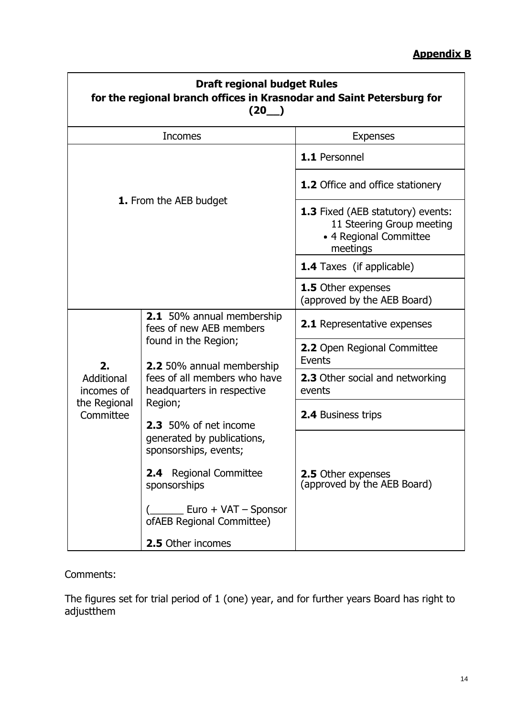# **Appendix B**

| <b>Draft regional budget Rules</b><br>for the regional branch offices in Krasnodar and Saint Petersburg for<br>(20) |                                                                                                                                                                                                                                                                    |                                                                                                             |
|---------------------------------------------------------------------------------------------------------------------|--------------------------------------------------------------------------------------------------------------------------------------------------------------------------------------------------------------------------------------------------------------------|-------------------------------------------------------------------------------------------------------------|
| <b>Incomes</b>                                                                                                      |                                                                                                                                                                                                                                                                    | <b>Expenses</b>                                                                                             |
| <b>1.</b> From the AEB budget                                                                                       |                                                                                                                                                                                                                                                                    | 1.1 Personnel                                                                                               |
|                                                                                                                     |                                                                                                                                                                                                                                                                    | <b>1.2</b> Office and office stationery                                                                     |
|                                                                                                                     |                                                                                                                                                                                                                                                                    | <b>1.3</b> Fixed (AEB statutory) events:<br>11 Steering Group meeting<br>• 4 Regional Committee<br>meetings |
|                                                                                                                     |                                                                                                                                                                                                                                                                    | <b>1.4</b> Taxes (if applicable)                                                                            |
|                                                                                                                     |                                                                                                                                                                                                                                                                    | <b>1.5</b> Other expenses<br>(approved by the AEB Board)                                                    |
| 2.<br>Additional<br>incomes of<br>the Regional<br>Committee                                                         | 2.1 50% annual membership<br>fees of new AEB members<br>found in the Region;<br>2.2 50% annual membership<br>fees of all members who have<br>headquarters in respective<br>Region;<br>2.3 50% of net income<br>generated by publications,<br>sponsorships, events; | <b>2.1</b> Representative expenses                                                                          |
|                                                                                                                     |                                                                                                                                                                                                                                                                    | <b>2.2</b> Open Regional Committee<br>Events                                                                |
|                                                                                                                     |                                                                                                                                                                                                                                                                    | <b>2.3</b> Other social and networking<br>events                                                            |
|                                                                                                                     |                                                                                                                                                                                                                                                                    | 2.4 Business trips                                                                                          |
|                                                                                                                     |                                                                                                                                                                                                                                                                    |                                                                                                             |
|                                                                                                                     | <b>2.4</b> Regional Committee<br>sponsorships                                                                                                                                                                                                                      | 2.5 Other expenses<br>(approved by the AEB Board)                                                           |
|                                                                                                                     | Euro + VAT – Sponsor<br>ofAEB Regional Committee)                                                                                                                                                                                                                  |                                                                                                             |
|                                                                                                                     | 2.5 Other incomes                                                                                                                                                                                                                                                  |                                                                                                             |

## Comments:

The figures set for trial period of 1 (one) year, and for further years Board has right to adjustthem